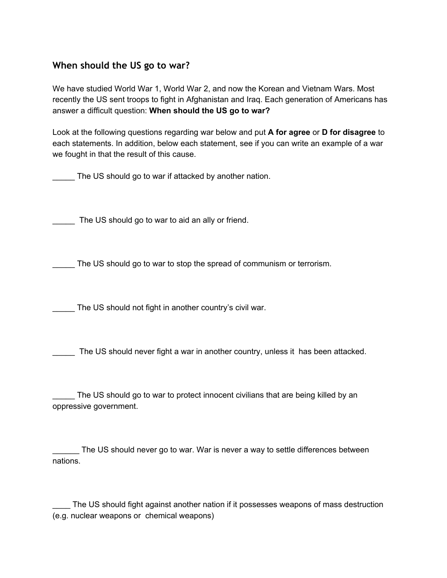## **When should the US go to war?**

We have studied World War 1, World War 2, and now the Korean and Vietnam Wars. Most recently the US sent troops to fight in Afghanistan and Iraq. Each generation of Americans has answer a difficult question: **When should the US go to war?**

Look at the following questions regarding war below and put **A for agree** or **D for disagree** to each statements. In addition, below each statement, see if you can write an example of a war we fought in that the result of this cause.

The US should go to war if attacked by another nation.

The US should go to war to aid an ally or friend.

\_\_\_\_\_ The US should go to war to stop the spread of communism or terrorism.

The US should not fight in another country's civil war.

The US should never fight a war in another country, unless it has been attacked.

The US should go to war to protect innocent civilians that are being killed by an oppressive government.

The US should never go to war. War is never a way to settle differences between nations.

\_\_\_\_ The US should fight against another nation if it possesses weapons of mass destruction (e.g. nuclear weapons or chemical weapons)